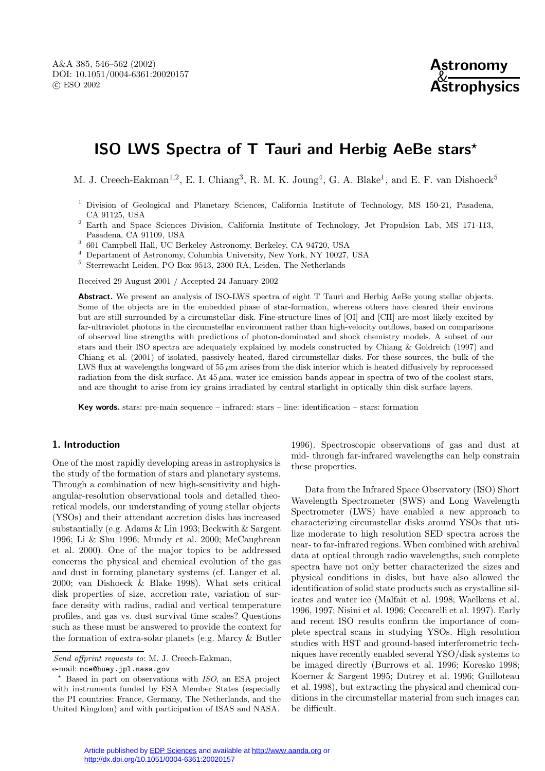# **ISO LWS Spectra of T Tauri and Herbig AeBe stars***?*

M. J. Creech-Eakman<sup>1,2</sup>, E. I. Chiang<sup>3</sup>, R. M. K. Joung<sup>4</sup>, G. A. Blake<sup>1</sup>, and E. F. van Dishoeck<sup>5</sup>

- <sup>1</sup> Division of Geological and Planetary Sciences, California Institute of Technology, MS 150-21, Pasadena, CA 91125, USA
- <sup>2</sup> Earth and Space Sciences Division, California Institute of Technology, Jet Propulsion Lab, MS 171-113, Pasadena, CA 91109, USA
- <sup>3</sup> 601 Campbell Hall, UC Berkeley Astronomy, Berkeley, CA 94720, USA
- <sup>4</sup> Department of Astronomy, Columbia University, New York, NY 10027, USA
- <sup>5</sup> Sterrewacht Leiden, PO Box 9513, 2300 RA, Leiden, The Netherlands

Received 29 August 2001 / Accepted 24 January 2002

**Abstract.** We present an analysis of ISO-LWS spectra of eight T Tauri and Herbig AeBe young stellar objects. Some of the objects are in the embedded phase of star-formation, whereas others have cleared their environs but are still surrounded by a circumstellar disk. Fine-structure lines of [OI] and [CII] are most likely excited by far-ultraviolet photons in the circumstellar environment rather than high-velocity outflows, based on comparisons of observed line strengths with predictions of photon-dominated and shock chemistry models. A subset of our stars and their ISO spectra are adequately explained by models constructed by Chiang & Goldreich (1997) and Chiang et al. (2001) of isolated, passively heated, flared circumstellar disks. For these sources, the bulk of the LWS flux at wavelengths longward of 55 µm arises from the disk interior which is heated diffusively by reprocessed radiation from the disk surface. At  $45 \mu m$ , water ice emission bands appear in spectra of two of the coolest stars, and are thought to arise from icy grains irradiated by central starlight in optically thin disk surface layers.

**Key words.** stars: pre-main sequence – infrared: stars – line: identification – stars: formation

# **1. Introduction**

One of the most rapidly developing areas in astrophysics is the study of the formation of stars and planetary systems. Through a combination of new high-sensitivity and highangular-resolution observational tools and detailed theoretical models, our understanding of young stellar objects (YSOs) and their attendant accretion disks has increased substantially (e.g. Adams & Lin 1993; Beckwith & Sargent 1996; Li & Shu 1996; Mundy et al. 2000; McCaughrean et al. 2000). One of the major topics to be addressed concerns the physical and chemical evolution of the gas and dust in forming planetary systems (cf. Langer et al. 2000; van Dishoeck & Blake 1998). What sets critical disk properties of size, accretion rate, variation of surface density with radius, radial and vertical temperature profiles, and gas vs. dust survival time scales? Questions such as these must be answered to provide the context for the formation of extra-solar planets (e.g. Marcy & Butler

Send offprint requests to: M. J. Creech-Eakman, e-mail: mce@huey.jpl.nasa.gov

 $*$  Based in part on observations with ISO, an ESA project with instruments funded by ESA Member States (especially the PI countries: France, Germany, The Netherlands, and the United Kingdom) and with participation of ISAS and NASA.

1996). Spectroscopic observations of gas and dust at mid- through far-infrared wavelengths can help constrain these properties.

Data from the Infrared Space Observatory (ISO) Short Wavelength Spectrometer (SWS) and Long Wavelength Spectrometer (LWS) have enabled a new approach to characterizing circumstellar disks around YSOs that utilize moderate to high resolution SED spectra across the near- to far-infrared regions. When combined with archival data at optical through radio wavelengths, such complete spectra have not only better characterized the sizes and physical conditions in disks, but have also allowed the identification of solid state products such as crystalline silicates and water ice (Malfait et al. 1998; Waelkens et al. 1996, 1997; Nisini et al. 1996; Ceccarelli et al. 1997). Early and recent ISO results confirm the importance of complete spectral scans in studying YSOs. High resolution studies with HST and ground-based interferometric techniques have recently enabled several YSO/disk systems to be imaged directly (Burrows et al. 1996; Koresko 1998; Koerner & Sargent 1995; Dutrey et al. 1996; Guilloteau et al. 1998), but extracting the physical and chemical conditions in the circumstellar material from such images can be difficult.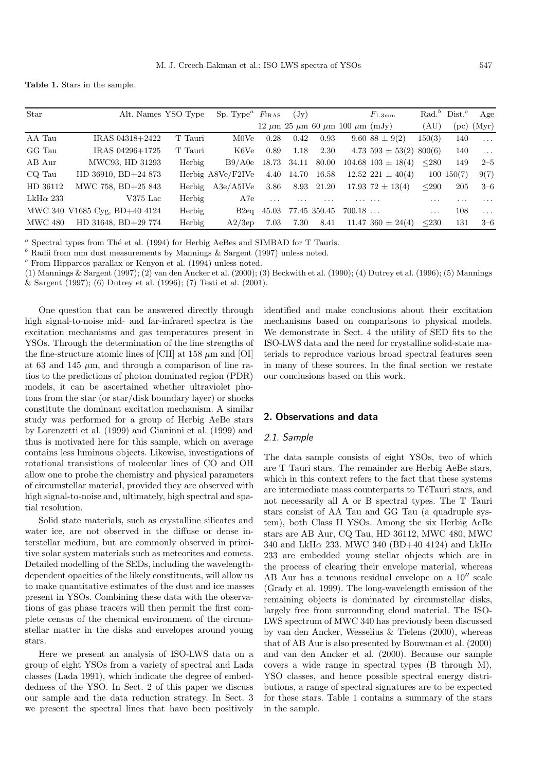**Table 1.** Stars in the sample.

| Star             | Alt. Names YSO Type           |         | Sp. Type <sup><math>a</math></sup> $F_{IRAS}$ |          | $(\mathrm{Jy})$ |              |                                                    | $F_{1.3{\rm mm}}$           |            | Rad. <sup>b</sup> Dist. <sup>c</sup> | Age                             |
|------------------|-------------------------------|---------|-----------------------------------------------|----------|-----------------|--------------|----------------------------------------------------|-----------------------------|------------|--------------------------------------|---------------------------------|
|                  |                               |         |                                               |          |                 |              | $12 \mu m$ $25 \mu m$ 60 $\mu m$ 100 $\mu m$ (mJy) |                             | (AU)       |                                      | $~\mathrm{(pc)}~\mathrm{(Myr)}$ |
| AA Tau           | IRAS 04318+2422               | T Tauri | M0Ve                                          | 0.28     | 0.42            | 0.93         |                                                    | $9.60$ $88 \pm 9(2)$        | 150(3)     | 140                                  | $\sim$ $\sim$ $\sim$            |
| GG Tau           | IRAS 04296+1725               | T Tauri | K6Ve                                          | 0.89     | 1.18            | 2.30         |                                                    | 4.73 593 $\pm$ 53(2) 800(6) |            | 140                                  | $\sim 10$                       |
| AB Aur           | MWC93, HD 31293               | Herbig  | B9/AOe                                        | 18.73    | 34.11           | 80.00        |                                                    | $104.68$ $103 \pm 18(4)$    | $280$      | 149                                  | $2 - 5$                         |
| CQ Tau           | HD 36910, BD+24 873           |         | Herbig A8Ve/F2IVe                             | 4.40     |                 | 14.70 16.58  |                                                    | $12.52$ $221 \pm 40(4)$     |            | $100 \; 150(7)$                      | 9(7)                            |
| HD 36112         | MWC 758, BD+25 843            | Herbig  | A3e/A5IVe                                     | 3.86     |                 | 8.93 21.20   |                                                    | $17.93\,72 \pm 13(4)$       | $290$      | 205                                  | $3 - 6$                         |
| LkH $\alpha$ 233 | $V375$ Lac                    | Herbig  | A7e                                           | $\cdots$ | .               | .            |                                                    |                             | .          | .                                    | $\cdot$ $\cdot$ $\cdot$         |
|                  | MWC 340 V1685 Cyg, BD+40 4124 | Herbig  | B2eq                                          | 45.03    |                 | 77.45 350.45 | 700.18                                             |                             | $\cdots$   | 108                                  | $\ldots$                        |
| MWC 480          | HD 31648, BD+29 774           | Herbig  | A2/3ep                                        | 7.03     | 7.30            | 8.41         |                                                    | $11.47\,360 \pm 24(4)$      | $\leq$ 230 | 131                                  | $3 - 6$                         |

 $a$  Spectral types from Thé et al. (1994) for Herbig AeBes and SIMBAD for T Tauris.

 $b$  Radii from mm dust measurements by Mannings & Sargent (1997) unless noted.

 $c$  From Hipparcos parallax or Kenyon et al. (1994) unless noted.

(1) Mannings & Sargent (1997); (2) van den Ancker et al. (2000); (3) Beckwith et al. (1990); (4) Dutrey et al. (1996); (5) Mannings & Sargent (1997); (6) Dutrey et al. (1996); (7) Testi et al. (2001).

One question that can be answered directly through high signal-to-noise mid- and far-infrared spectra is the excitation mechanisms and gas temperatures present in YSOs. Through the determination of the line strengths of the fine-structure atomic lines of [CII] at 158  $\mu$ m and [OI] at 63 and 145  $\mu$ m, and through a comparison of line ratios to the predictions of photon dominated region (PDR) models, it can be ascertained whether ultraviolet photons from the star (or star/disk boundary layer) or shocks constitute the dominant excitation mechanism. A similar study was performed for a group of Herbig AeBe stars by Lorenzetti et al. (1999) and Gianinni et al. (1999) and thus is motivated here for this sample, which on average contains less luminous objects. Likewise, investigations of rotational transistions of molecular lines of CO and OH allow one to probe the chemistry and physical parameters of circumstellar material, provided they are observed with high signal-to-noise and, ultimately, high spectral and spatial resolution.

Solid state materials, such as crystalline silicates and water ice, are not observed in the diffuse or dense interstellar medium, but are commonly observed in primitive solar system materials such as meteorites and comets. Detailed modelling of the SEDs, including the wavelengthdependent opacities of the likely constituents, will allow us to make quantitative estimates of the dust and ice masses present in YSOs. Combining these data with the observations of gas phase tracers will then permit the first complete census of the chemical environment of the circumstellar matter in the disks and envelopes around young stars.

Here we present an analysis of ISO-LWS data on a group of eight YSOs from a variety of spectral and Lada classes (Lada 1991), which indicate the degree of embeddedness of the YSO. In Sect. 2 of this paper we discuss our sample and the data reduction strategy. In Sect. 3 we present the spectral lines that have been positively

identified and make conclusions about their excitation mechanisms based on comparisons to physical models. We demonstrate in Sect. 4 the utility of SED fits to the ISO-LWS data and the need for crystalline solid-state materials to reproduce various broad spectral features seen in many of these sources. In the final section we restate our conclusions based on this work.

# **2. Observations and data**

## 2.1. Sample

The data sample consists of eight YSOs, two of which are T Tauri stars. The remainder are Herbig AeBe stars, which in this context refers to the fact that these systems are intermediate mass counterparts to TéTauri stars, and not necessarily all A or B spectral types. The T Tauri stars consist of AA Tau and GG Tau (a quadruple system), both Class II YSOs. Among the six Herbig AeBe stars are AB Aur, CQ Tau, HD 36112, MWC 480, MWC 340 and LkH $\alpha$  233. MWC 340 (BD+40 4124) and LkH $\alpha$ 233 are embedded young stellar objects which are in the process of clearing their envelope material, whereas AB Aur has a tenuous residual envelope on a  $10''$  scale (Grady et al. 1999). The long-wavelength emission of the remaining objects is dominated by circumstellar disks, largely free from surrounding cloud material. The ISO-LWS spectrum of MWC 340 has previously been discussed by van den Ancker, Wesselius & Tielens (2000), whereas that of AB Aur is also presented by Bouwman et al. (2000) and van den Ancker et al. (2000). Because our sample covers a wide range in spectral types (B through M), YSO classes, and hence possible spectral energy distributions, a range of spectral signatures are to be expected for these stars. Table 1 contains a summary of the stars in the sample.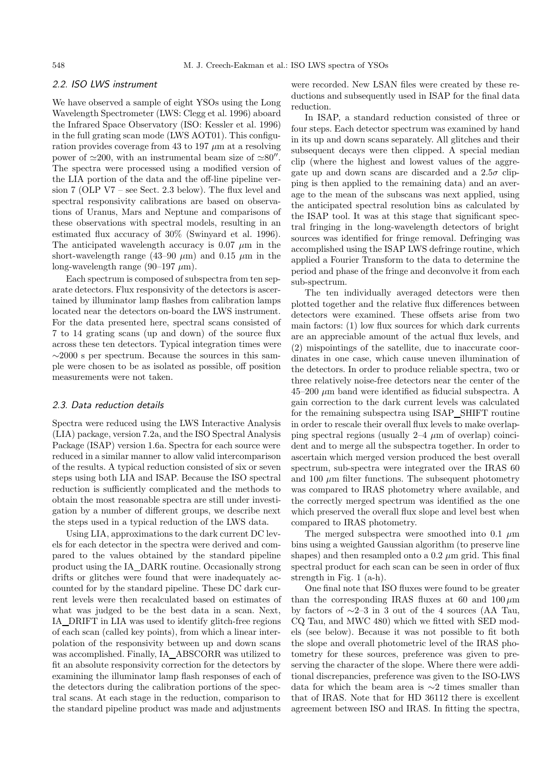# 2.2. ISO LWS instrument

We have observed a sample of eight YSOs using the Long Wavelength Spectrometer (LWS: Clegg et al. 1996) aboard the Infrared Space Observatory (ISO: Kessler et al. 1996) in the full grating scan mode (LWS AOT01). This configuration provides coverage from 43 to 197  $\mu$ m at a resolving power of  $\simeq 200$ , with an instrumental beam size of  $\simeq 80''$ . The spectra were processed using a modified version of the LIA portion of the data and the off-line pipeline version 7 (OLP V7 – see Sect. 2.3 below). The flux level and spectral responsivity calibrations are based on observations of Uranus, Mars and Neptune and comparisons of these observations with spectral models, resulting in an estimated flux accuracy of 30% (Swinyard et al. 1996). The anticipated wavelength accuracy is 0.07  $\mu \mathrm{m}$  in the short-wavelength range (43–90  $\mu$ m) and 0.15  $\mu$ m in the long-wavelength range (90–197  $\mu$ m).

Each spectrum is composed of subspectra from ten separate detectors. Flux responsivity of the detectors is ascertained by illuminator lamp flashes from calibration lamps located near the detectors on-board the LWS instrument. For the data presented here, spectral scans consisted of 7 to 14 grating scans (up and down) of the source flux across these ten detectors. Typical integration times were ∼2000 s per spectrum. Because the sources in this sample were chosen to be as isolated as possible, off position measurements were not taken.

### 2.3. Data reduction details

Spectra were reduced using the LWS Interactive Analysis (LIA) package, version 7.2a, and the ISO Spectral Analysis Package (ISAP) version 1.6a. Spectra for each source were reduced in a similar manner to allow valid intercomparison of the results. A typical reduction consisted of six or seven steps using both LIA and ISAP. Because the ISO spectral reduction is sufficiently complicated and the methods to obtain the most reasonable spectra are still under investigation by a number of different groups, we describe next the steps used in a typical reduction of the LWS data.

Using LIA, approximations to the dark current DC levels for each detector in the spectra were derived and compared to the values obtained by the standard pipeline product using the IA DARK routine. Occasionally strong drifts or glitches were found that were inadequately accounted for by the standard pipeline. These DC dark current levels were then recalculated based on estimates of what was judged to be the best data in a scan. Next, IA DRIFT in LIA was used to identify glitch-free regions of each scan (called key points), from which a linear interpolation of the responsivity between up and down scans was accomplished. Finally, IA ABSCORR was utilized to fit an absolute responsivity correction for the detectors by examining the illuminator lamp flash responses of each of the detectors during the calibration portions of the spectral scans. At each stage in the reduction, comparison to the standard pipeline product was made and adjustments

were recorded. New LSAN files were created by these reductions and subsequently used in ISAP for the final data reduction.

In ISAP, a standard reduction consisted of three or four steps. Each detector spectrum was examined by hand in its up and down scans separately. All glitches and their subsequent decays were then clipped. A special median clip (where the highest and lowest values of the aggregate up and down scans are discarded and a  $2.5\sigma$  clipping is then applied to the remaining data) and an average to the mean of the subscans was next applied, using the anticipated spectral resolution bins as calculated by the ISAP tool. It was at this stage that significant spectral fringing in the long-wavelength detectors of bright sources was identified for fringe removal. Defringing was accomplished using the ISAP LWS defringe routine, which applied a Fourier Transform to the data to determine the period and phase of the fringe and deconvolve it from each sub-spectrum.

The ten individually averaged detectors were then plotted together and the relative flux differences between detectors were examined. These offsets arise from two main factors: (1) low flux sources for which dark currents are an appreciable amount of the actual flux levels, and (2) mispointings of the satellite, due to inaccurate coordinates in one case, which cause uneven illumination of the detectors. In order to produce reliable spectra, two or three relatively noise-free detectors near the center of the  $45-200 \mu m$  band were identified as fiducial subspectra. A gain correction to the dark current levels was calculated for the remaining subspectra using ISAP SHIFT routine in order to rescale their overall flux levels to make overlapping spectral regions (usually  $2-4 \mu m$  of overlap) coincident and to merge all the subspectra together. In order to ascertain which merged version produced the best overall spectrum, sub-spectra were integrated over the IRAS 60 and 100  $\mu$ m filter functions. The subsequent photometry was compared to IRAS photometry where available, and the correctly merged spectrum was identified as the one which preserved the overall flux slope and level best when compared to IRAS photometry.

The merged subspectra were smoothed into 0.1  $\mu$ m bins using a weighted Gaussian algorithm (to preserve line shapes) and then resampled onto a  $0.2 \mu m$  grid. This final spectral product for each scan can be seen in order of flux strength in Fig. 1 (a-h).

One final note that ISO fluxes were found to be greater than the corresponding IRAS fluxes at 60 and  $100 \,\mu m$ by factors of  $\sim$ 2–3 in 3 out of the 4 sources (AA Tau, CQ Tau, and MWC 480) which we fitted with SED models (see below). Because it was not possible to fit both the slope and overall photometric level of the IRAS photometry for these sources, preference was given to preserving the character of the slope. Where there were additional discrepancies, preference was given to the ISO-LWS data for which the beam area is ∼2 times smaller than that of IRAS. Note that for HD 36112 there is excellent agreement between ISO and IRAS. In fitting the spectra,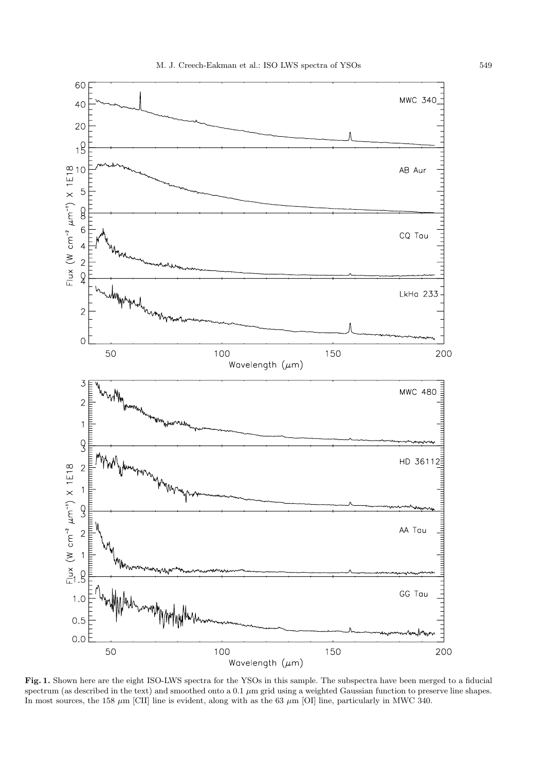

**Fig. 1.** Shown here are the eight ISO-LWS spectra for the YSOs in this sample. The subspectra have been merged to a fiducial spectrum (as described in the text) and smoothed onto a 0.1  $\mu$ m grid using a weighted Gaussian function to preserve line shapes. In most sources, the 158  $\mu$ m [CII] line is evident, along with as the 63  $\mu$ m [OI] line, particularly in MWC 340.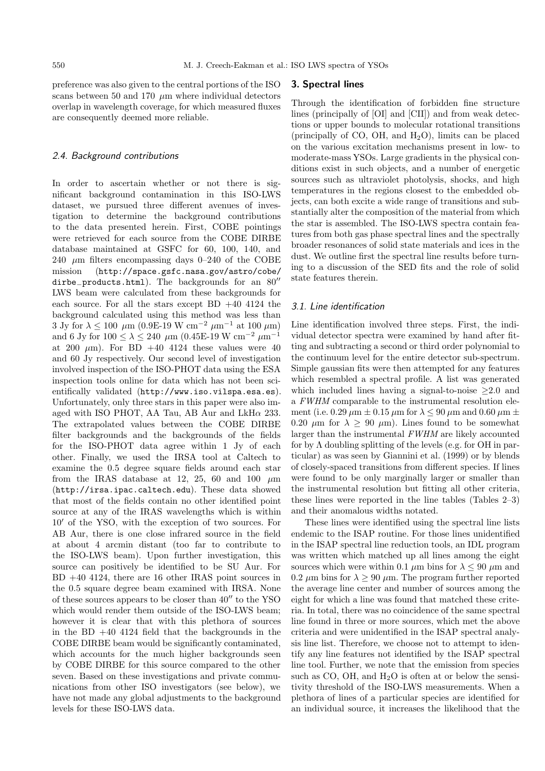preference was also given to the central portions of the ISO scans between 50 and 170  $\mu$ m where individual detectors overlap in wavelength coverage, for which measured fluxes are consequently deemed more reliable.

### 2.4. Background contributions

In order to ascertain whether or not there is significant background contamination in this ISO-LWS dataset, we pursued three different avenues of investigation to determine the background contributions to the data presented herein. First, COBE pointings were retrieved for each source from the COBE DIRBE database maintained at GSFC for 60, 100, 140, and 240  $\mu$ m filters encompassing days 0–240 of the COBE mission (http://space.gsfc.nasa.gov/astro/cobe/ dirbe\_products.html). The backgrounds for an 80" LWS beam were calculated from these backgrounds for each source. For all the stars except BD +40 4124 the background calculated using this method was less than 3 Jy for  $\lambda \le 100 \mu m$  (0.9E-19 W cm<sup>-2</sup> μm<sup>-1</sup> at 100 μm) and 6 Jy for  $100 \le \lambda \le 240$  µm  $(0.45E-19 W cm^{-2} \mu m^{-1})$ at 200  $\mu$ m). For BD +40 4124 these values were 40 and 60 Jy respectively. Our second level of investigation involved inspection of the ISO-PHOT data using the ESA inspection tools online for data which has not been scientifically validated (http://www.iso.vilspa.esa.es). Unfortunately, only three stars in this paper were also imaged with ISO PHOT, AA Tau, AB Aur and  $LkH\alpha$  233. The extrapolated values between the COBE DIRBE filter backgrounds and the backgrounds of the fields for the ISO-PHOT data agree within 1 Jy of each other. Finally, we used the IRSA tool at Caltech to examine the 0.5 degree square fields around each star from the IRAS database at 12, 25, 60 and 100  $\mu$ m (http://irsa.ipac.caltech.edu). These data showed that most of the fields contain no other identified point source at any of the IRAS wavelengths which is within  $10'$  of the YSO, with the exception of two sources. For AB Aur, there is one close infrared source in the field at about 4 arcmin distant (too far to contribute to the ISO-LWS beam). Upon further investigation, this source can positively be identified to be SU Aur. For BD +40 4124, there are 16 other IRAS point sources in the 0.5 square degree beam examined with IRSA. None of these sources appears to be closer than  $40''$  to the YSO which would render them outside of the ISO-LWS beam; however it is clear that with this plethora of sources in the BD  $+40$  4124 field that the backgrounds in the COBE DIRBE beam would be significantly contaminated, which accounts for the much higher backgrounds seen by COBE DIRBE for this source compared to the other seven. Based on these investigations and private communications from other ISO investigators (see below), we have not made any global adjustments to the background levels for these ISO-LWS data.

# **3. Spectral lines**

Through the identification of forbidden fine structure lines (principally of [OI] and [CII]) and from weak detections or upper bounds to molecular rotational transitions (principally of CO, OH, and  $H_2O$ ), limits can be placed on the various excitation mechanisms present in low- to moderate-mass YSOs. Large gradients in the physical conditions exist in such objects, and a number of energetic sources such as ultraviolet photolysis, shocks, and high temperatures in the regions closest to the embedded objects, can both excite a wide range of transitions and substantially alter the composition of the material from which the star is assembled. The ISO-LWS spectra contain features from both gas phase spectral lines and the spectrally broader resonances of solid state materials and ices in the dust. We outline first the spectral line results before turning to a discussion of the SED fits and the role of solid state features therein.

# 3.1. Line identification

Line identification involved three steps. First, the individual detector spectra were examined by hand after fitting and subtracting a second or third order polynomial to the continuum level for the entire detector sub-spectrum. Simple gaussian fits were then attempted for any features which resembled a spectral profile. A list was generated which included lines having a signal-to-noise  $\geq 2.0$  and a FWHM comparable to the instrumental resolution element (i.e. 0.29  $\mu$ m  $\pm$  0.15  $\mu$ m for  $\lambda \le 90 \mu$ m and 0.60  $\mu$ m  $\pm$ 0.20  $\mu$ m for  $\lambda \geq 90 \mu$ m). Lines found to be somewhat larger than the instrumental FWHM are likely accounted for by  $\Lambda$  doubling splitting of the levels (e.g. for OH in particular) as was seen by Giannini et al. (1999) or by blends of closely-spaced transitions from different species. If lines were found to be only marginally larger or smaller than the instrumental resolution but fitting all other criteria, these lines were reported in the line tables (Tables 2–3) and their anomalous widths notated.

These lines were identified using the spectral line lists endemic to the ISAP routine. For those lines unidentified in the ISAP spectral line reduction tools, an IDL program was written which matched up all lines among the eight sources which were within 0.1  $\mu$ m bins for  $\lambda$  < 90  $\mu$ m and 0.2  $\mu$ m bins for  $\lambda \ge 90 \mu$ m. The program further reported the average line center and number of sources among the eight for which a line was found that matched these criteria. In total, there was no coincidence of the same spectral line found in three or more sources, which met the above criteria and were unidentified in the ISAP spectral analysis line list. Therefore, we choose not to attempt to identify any line features not identified by the ISAP spectral line tool. Further, we note that the emission from species such as  $CO$ ,  $OH$ , and  $H<sub>2</sub>O$  is often at or below the sensitivity threshold of the ISO-LWS measurements. When a plethora of lines of a particular species are identified for an individual source, it increases the likelihood that the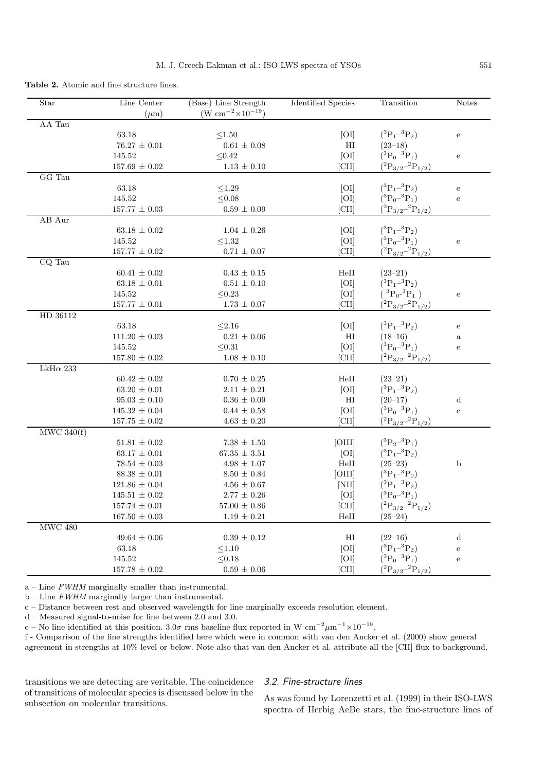| <b>Table 2.</b> Atomic and fine structure lines. |  |
|--------------------------------------------------|--|
|--------------------------------------------------|--|

| Star             | Line Center<br>$(\mu m)$ | (Base) Line Strength<br>(W $\rm cm^{-2} \times 10^{-19}$ ) | <b>Identified Species</b>     | Transition                                    | <b>Notes</b> |
|------------------|--------------------------|------------------------------------------------------------|-------------------------------|-----------------------------------------------|--------------|
| AA Tau           |                          |                                                            |                               |                                               |              |
|                  | 63.18                    | $\leq1.50$                                                 | [O <sub>I</sub> ]             | $(^3P_1-^3P_2)$                               | ${\bf e}$    |
|                  | $76.27 \pm 0.01$         | $0.61 \pm 0.08$                                            | $_{\rm HI}$                   | $(23-18)$                                     |              |
|                  | 145.52                   | $\leq 0.42$                                                | [O]                           | $(^3P_0-^3P_1)$                               | ${\bf e}$    |
|                  | $157.69 \pm 0.02$        | $1.13 \pm 0.10$                                            | [CII]                         | $(^{2}P_{3/2}-^{2}P_{1/2})$                   |              |
| GG Tau           |                          |                                                            |                               |                                               |              |
|                  | 63.18                    | $\leq1.29$                                                 | [O <sub>I</sub> ]             | $(^3P_1-^3P_2)$                               | ${\bf e}$    |
|                  | 145.52                   | $\leq 0.08$                                                | [O]                           | $({}^{3}P_{0} - {}^{3}P_{1})$                 | $\mathbf{e}$ |
|                  | $157.77 \pm 0.03$        | $0.59\,\pm\,0.09$                                          | [CII]                         | $(^2\mathrm{P}_{3/2}{}^{-2}\mathrm{P}_{1/2})$ |              |
| AB Aur           |                          |                                                            |                               |                                               |              |
|                  | $63.18 \pm 0.02$         | $1.04 \pm 0.26$                                            | [O <sub>I</sub> ]             | $(^3P_1-^3P_2)$                               |              |
|                  | 145.52                   | ${\leq}1.32$                                               | [O <sub>I</sub> ]             | $(^3P_0-^3P_1)$                               | ${\bf e}$    |
|                  | $157.77\,\pm\,0.02$      | $0.71 \pm 0.07$                                            | [CII]                         | $(^{2}P_{3/2}-^{2}P_{1/2})$                   |              |
| CQ Tau           |                          |                                                            |                               |                                               |              |
|                  | $60.41 \pm 0.02$         | $0.43 \pm 0.15$                                            | HeII                          | $(23-21)$                                     |              |
|                  | $63.18 \pm 0.01$         | $0.51 \pm 0.10$                                            | [O <sub>I</sub> ]             | $(^3P_1-^3P_2)$                               |              |
|                  | 145.52                   | $\leq 0.23$                                                | [O <sub>I</sub> ]             | $({}^{3}P_{0} {}^{3}P_{1})$                   | ${\bf e}$    |
|                  | $157.77 \pm 0.01$        | $1.73\,\pm\,0.07$                                          | [CII]                         | $(^{2}{\rm P}_{3/2}{}^{-2}{\rm P}_{1/2})$     |              |
| HD 36112         |                          |                                                            |                               |                                               |              |
|                  | 63.18                    | $\leq 2.16$                                                | [O <sub>I</sub> ]             | $(^3P_1-^3P_2)$                               | ${\bf e}$    |
|                  | $111.20 \pm 0.03$        | $0.21 \pm 0.06$                                            | HI                            | $(18-16)$                                     | $\rm{a}$     |
|                  | 145.52                   | $\leq 0.31$                                                | [O]                           | $(^3P_0-^3P_1)$                               | ${\bf e}$    |
|                  | $157.80\,\pm\,0.02$      | $1.08 \pm 0.10$                                            | [CII]                         | $(^{2}{\rm P}_{3/2}{}^{-2}{\rm P}_{1/2})$     |              |
| LkH $\alpha$ 233 |                          |                                                            |                               |                                               |              |
|                  | $60.42 \pm 0.02$         | $0.70 \pm 0.25$                                            | HeII                          | $(23-21)$                                     |              |
|                  | $63.20 \pm 0.01$         | $2.11 \pm 0.21$                                            | [O <sub>I</sub> ]             | $(^3P_1-^3P_2)$                               |              |
|                  | $95.03 \pm 0.10$         | $0.36 \pm 0.09$                                            | HI                            | $(20-17)$                                     | $\mathbf d$  |
|                  | $145.32 \pm 0.04$        | $0.44 \pm 0.58$                                            | [O <sub>I</sub> ]             | $({}^{3}P_{0} - {}^{3}P_{1})$                 | $\rm{c}$     |
|                  | $157.75 \pm 0.02$        | $4.63\,\pm\,0.20$                                          | [CII]                         | $(^{2}{\rm P}_{3/2}{}^{-2}{\rm P}_{1/2})$     |              |
| MWC 340(f)       |                          |                                                            |                               |                                               |              |
|                  | $51.81\,\pm\,0.02$       | $7.38\,\pm\,1.50$                                          | [OIII]                        | $(^3P_2-^3P_1)$                               |              |
|                  | $63.17 \pm 0.01$         | $67.35 \pm 3.51$                                           | [O <sub>I</sub> ]             | $(^3P_1-^3P_2)$                               |              |
|                  | $78.54\,\pm\,0.03$       | $4.98 \pm 1.07$                                            | HeII                          | $(25-23)$                                     | $\mathbf b$  |
|                  | $88.38 \pm 0.01$         | $8.50 \pm 0.84$                                            | [OIII]                        | $(^3P_1-^3P_0)$                               |              |
|                  | $121.86 \pm 0.04$        | $4.56 \pm 0.67$                                            | [NII]                         | $(^3P_1-^3P_2)$                               |              |
|                  | $145.51 \pm 0.02$        | $2.77 \pm 0.26$                                            | [O <sub>I</sub> ]             | $(^3{\rm P}_0- ^3{\rm P}_1)$                  |              |
|                  | $157.74 \,\pm\, 0.01$    | $57.00\,\pm\,0.86$                                         | [CII]                         | $(^{2}{\rm P}_{3/2}{}^{-2}{\rm P}_{1/2})$     |              |
|                  | $167.50 \pm 0.03$        | $1.19\,\pm\,0.21$                                          | HeII                          | $(25 - 24)$                                   |              |
| $\rm MWC$ $480$  |                          |                                                            |                               |                                               |              |
|                  | $49.64 \pm 0.06$         | $0.39\,\pm\,0.12$                                          | $\rm HI$                      | $(22-16)$                                     | ${\rm d}$    |
|                  | 63.18                    | $\leq 1.10$                                                | [OI]                          | $(^3P_1-^3P_2)$                               | ${\bf e}$    |
|                  | 145.52                   | $\leq 0.18$                                                | [O <sub>I</sub> ]             | $({}^{3}P_{0} - {}^{3}P_{1})$                 | ${\bf e}$    |
|                  | $157.78\,\pm\,0.02$      | $0.59 \pm 0.06$                                            | $\left[ \textrm{CII} \right]$ | $(^{2}P_{3/2}^{-2}P_{1/2})$                   |              |
|                  |                          |                                                            |                               |                                               |              |

 $a$  – Line FWHM marginally smaller than instrumental.

 $b$  – Line FWHM marginally larger than instrumental.

c – Distance between rest and observed wavelength for line marginally exceeds resolution element.

d – Measured signal-to-noise for line between 2.0 and 3.0.

e – No line identified at this position.  $3.0\sigma$  rms baseline flux reported in W cm<sup>-2</sup> $\mu$ m<sup>-1</sup>×10<sup>-19</sup>.

f - Comparison of the line strengths identified here which were in common with van den Ancker et al. (2000) show general agreement in strengths at 10% level or below. Note also that van den Ancker et al. attribute all the [CII] flux to background.

transitions we are detecting are veritable. The coincidence of transitions of molecular species is discussed below in the subsection on molecular transitions.

### 3.2. Fine-structure lines

As was found by Lorenzetti et al. (1999) in their ISO-LWS spectra of Herbig AeBe stars, the fine-structure lines of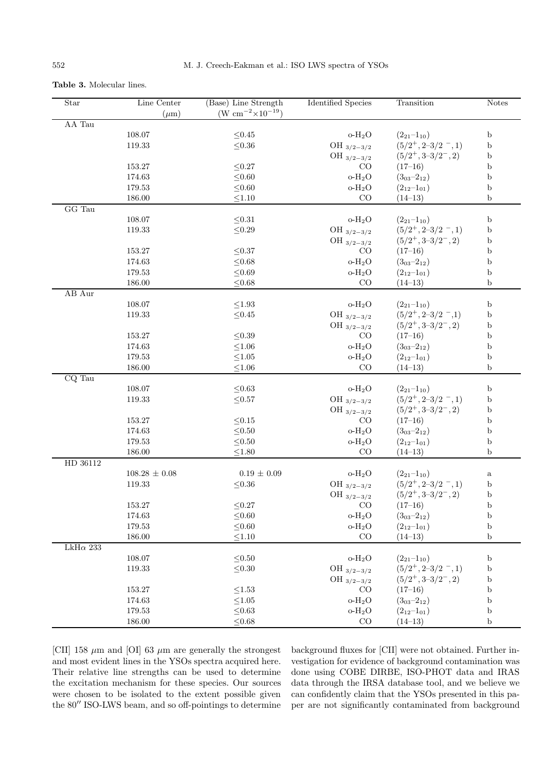| <b>Table 3.</b> Molecular lines. |  |  |
|----------------------------------|--|--|
|                                  |  |  |

| $\operatorname{Star}$ | Line Center       | (Base) Line Strength               | <b>Identified Species</b> | Transition            | <b>Notes</b> |
|-----------------------|-------------------|------------------------------------|---------------------------|-----------------------|--------------|
|                       | $(\mu m)$         | (W $\rm cm^{-2} \times 10^{-19}$ ) |                           |                       |              |
| AA Tau                |                   |                                    |                           |                       |              |
|                       | 108.07            | ${\leq}0.45$                       | $o-H2O$                   | $(2_{21}-1_{10})$     | $\mathbf b$  |
|                       | 119.33            | $\leq 0.36$                        | OH $_{3/2-3/2}$           | $(5/2^+, 2-3/2^-, 1)$ | $\mathbf b$  |
|                       |                   |                                    | OH $_{3/2-3/2}$           | $(5/2^+, 3-3/2^-, 2)$ | $\mathbf b$  |
|                       | 153.27            | ${\leq}0.27$                       | CO                        | $(17-16)$             | b            |
|                       | 174.63            | $\leq 0.60$                        | $o-H2O$                   | $(3_{03}-2_{12})$     | b            |
|                       | 179.53            | $\leq 0.60$                        | $o-H2O$                   | $(2_{12}-1_{01})$     | b            |
|                       | 186.00            | $\leq 1.10$                        | CO                        | $(14-13)$             | $\mathbf b$  |
| GG Tau                |                   |                                    |                           |                       |              |
|                       | 108.07            | ${\leq}0.31$                       | $o-H2O$                   | $(2_{21}-1_{10})$     | $\mathbf b$  |
|                       | 119.33            | $\leq 0.29$                        | OH $_{3/2-3/2}$           | $(5/2^+, 2-3/2^-, 1)$ | b            |
|                       |                   |                                    | OH $_{3/2-3/2}$           | $(5/2^+, 3-3/2^-, 2)$ | b            |
|                       | 153.27            | ${\leq}0.37$                       | $_{\rm CO}$               | $(17-16)$             | b            |
|                       | 174.63            | $\leq 0.68$                        | $o-H2O$                   | $(3_{03}-2_{12})$     | b            |
|                       | 179.53            | $\leq 0.69$                        | $o-H2O$                   | $(2_{12}-1_{01})$     | b            |
|                       | 186.00            | $\leq 0.68$                        | CO                        | $(14-13)$             | b            |
| $AB$ $\,\mathrm{Aur}$ |                   |                                    |                           |                       |              |
|                       | 108.07            | ${\le}1.93$                        | o- $H_2O$                 | $(2_{21}-1_{10})$     | b            |
|                       | 119.33            | $\leq 0.45$                        | OH $_{3/2-3/2}$           | $(5/2^+, 2-3/2^-, 1)$ | b            |
|                       |                   |                                    | OH $_{3/2-3/2}$           | $(5/2^+, 3-3/2^-, 2)$ | b            |
|                       | 153.27            | ${\leq}0.39$                       | CO                        | $(17 - 16)$           | b            |
|                       | 174.63            | $\leq 1.06$                        | $o-H2O$                   | $(3_{03}-2_{12})$     | b            |
|                       | 179.53            | ${\le}1.05$                        | $O-H2O$                   | $(2_{12}-1_{01})$     | b            |
|                       | 186.00            | ${\le}1.06$                        | CO                        | $(14-13)$             | b            |
| CQ Tau                |                   |                                    |                           |                       |              |
|                       | 108.07            | ${\leq}0.63$                       | $o-H2O$                   | $(2_{21}-1_{10})$     | $\mathbf b$  |
|                       | 119.33            | ${\leq}0.57$                       | OH $_{3/2-3/2}$           | $(5/2^+, 2-3/2^-, 1)$ | b            |
|                       |                   |                                    | OH $_{3/2-3/2}$           | $(5/2^+, 3-3/2^-, 2)$ | $\mathbf b$  |
|                       | 153.27            | ${\leq}0.15$                       | CO                        | $(17-16)$             | b            |
|                       | 174.63            | ${\leq}0.50$                       | $o-H2O$                   | $(3_{03}-2_{12})$     | $\mathbf b$  |
|                       | 179.53            | ${\leq}0.50$                       | $o-H2O$                   | $(2_{12}-1_{01})$     | b            |
|                       | 186.00            | $\leq1.80$                         | CO                        | $(14-13)$             | b            |
| HD 36112              |                   |                                    |                           |                       |              |
|                       | $108.28 \pm 0.08$ | $0.19 \pm 0.09$                    | $o-H2O$                   | $(2_{21}-1_{10})$     | $\rm{a}$     |
|                       | 119.33            | $\leq 0.36$                        | OH $_{3/2-3/2}$           | $(5/2^+, 2-3/2^-, 1)$ | $\mathbf b$  |
|                       |                   |                                    | OH $_{3/2-3/2}$           | $(5/2^+, 3-3/2^-, 2)$ | b            |
|                       | 153.27            | ${\leq}0.27$                       | CO                        | $(17-16)$             | b            |
|                       | 174.63            | $\leq 0.60$                        | $o-H2O$                   | $(3_{03}-2_{12})$     | $\mathbf b$  |
|                       | 179.53            | $\leq 0.60$                        | $o-H2O$                   | $(2_{12}-1_{01})$     | $\mathbf b$  |
|                       | 186.00            | $\leq 1.10$                        | CO                        | $(14-13)$             | $\mathbf b$  |
| LkH $\alpha$ 233      |                   |                                    |                           |                       |              |
|                       | 108.07            | ${\leq}0.50$                       | o- $\rm H_2O$             | $(2_{21}-1_{10})$     | $\rm b$      |
|                       | 119.33            | $\leq 0.30$                        | OH $_{3/2-3/2}$           | $(5/2^+, 2-3/2^-, 1)$ | b            |
|                       |                   |                                    | OH $3/2-3/2$              | $(5/2^+, 3-3/2^-, 2)$ | $\mathbf b$  |
|                       | 153.27            | ${\le}1.53$                        | CO                        | $(17-16)$             | $\mathbf b$  |
|                       | 174.63            | $\leq1.05$                         | $o-H2O$                   | $(3_{03}-2_{12})$     | $\mathbf b$  |
|                       | 179.53            | $\leq 0.63$                        | $o-H2O$                   | $(2_{12}-1_{01})$     | b            |
|                       | 186.00            | $\leq 0.68$                        | $\rm CO$                  | $(14-13)$             | b            |

[CII] 158  $\mu$ m and [OI] 63  $\mu$ m are generally the strongest and most evident lines in the YSOs spectra acquired here. Their relative line strengths can be used to determine the excitation mechanism for these species. Our sources were chosen to be isolated to the extent possible given the 80" ISO-LWS beam, and so off-pointings to determine background fluxes for [CII] were not obtained. Further investigation for evidence of background contamination was done using COBE DIRBE, ISO-PHOT data and IRAS data through the IRSA database tool, and we believe we can confidently claim that the YSOs presented in this paper are not significantly contaminated from background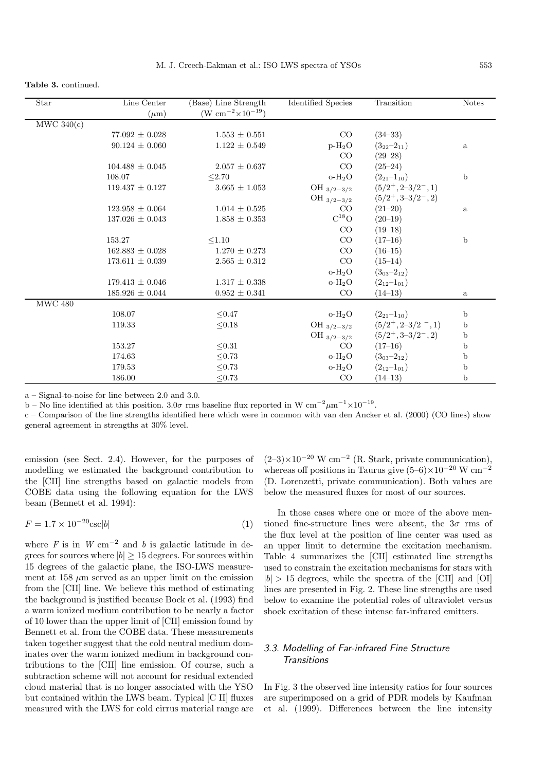|  | <b>Table 3. continued.</b> |
|--|----------------------------|
|--|----------------------------|

| Star                        | Line Center         | (Base) Line Strength               | <b>Identified Species</b> | Transition            | <b>Notes</b> |
|-----------------------------|---------------------|------------------------------------|---------------------------|-----------------------|--------------|
|                             | $(\mu m)$           | (W $\rm cm^{-2} \times 10^{-19}$ ) |                           |                       |              |
| MWC 340(c)                  |                     |                                    |                           |                       |              |
|                             | $77.092 \pm 0.028$  | $1.553 \pm 0.551$                  | CO                        | $(34 - 33)$           |              |
|                             | $90.124 \pm 0.060$  | $1.122 \pm 0.549$                  | $p-H_2O$                  | $(3_{22}-2_{11})$     | $\rm{a}$     |
|                             |                     |                                    | CO                        | $(29 - 28)$           |              |
|                             | $104.488 \pm 0.045$ | $2.057 \pm 0.637$                  | CO                        | $(25-24)$             |              |
|                             | 108.07              | < 2.70                             | $o-H_2O$                  | $(2_{21}-1_{10})$     | $\mathbf b$  |
|                             | $119.437 \pm 0.127$ | $3.665 \pm 1.053$                  | OH $_{3/2-3/2}$           | $(5/2^+, 2-3/2^-, 1)$ |              |
|                             |                     |                                    | OH $_{3/2-3/2}$           | $(5/2^+, 3-3/2^-, 2)$ |              |
|                             | $123.958 \pm 0.064$ | $1.014 \pm 0.525$                  | CO                        | $(21-20)$             | $\rm{a}$     |
|                             | $137.026 \pm 0.043$ | $1.858 \pm 0.353$                  | $C^{18}O$                 | $(20-19)$             |              |
|                             |                     |                                    | CO                        | $(19-18)$             |              |
|                             | 153.27              | < 1.10                             | CO                        | $(17-16)$             | $\mathbf b$  |
|                             | $162.883 \pm 0.028$ | $1.270 \pm 0.273$                  | CO                        | $(16-15)$             |              |
|                             | $173.611 \pm 0.039$ | $2.565 \pm 0.312$                  | CO                        | $(15-14)$             |              |
|                             |                     |                                    | $O-H2O$                   | $(3_{03}-2_{12})$     |              |
|                             | $179.413 \pm 0.046$ | $1.317 \pm 0.338$                  | $o-H2O$                   | $(2_{12}-1_{01})$     |              |
|                             | $185.926 \pm 0.044$ | $0.952 \pm 0.341$                  | CO                        | $(14-13)$             | $\rm{a}$     |
| $\overline{\text{MWC}}$ 480 |                     |                                    |                           |                       |              |
|                             | 108.07              | $\leq 0.47$                        | $o-H2O$                   | $(2_{21}-1_{10})$     | $\mathbf b$  |
|                             | 119.33              | ${\leq}0.18$                       | OH $_{3/2-3/2}$           | $(5/2^+, 2-3/2^-, 1)$ | b            |
|                             |                     |                                    | OH $_{3/2-3/2}$           | $(5/2^+, 3-3/2^-, 2)$ | $\mathbf b$  |
|                             | 153.27              | < 0.31                             | CO                        | $(17-16)$             | $\mathbf b$  |
|                             | 174.63              | ${\leq}0.73$                       | $o-H2O$                   | $(3_{03}-2_{12})$     | $\mathbf b$  |
|                             | 179.53              | < 0.73                             | $O-H2O$                   | $(2_{12}-1_{01})$     | $\mathbf b$  |
|                             | 186.00              | < 0.73                             | CO                        | $(14-13)$             | $\mathbf b$  |

a – Signal-to-noise for line between 2.0 and 3.0.

b – No line identified at this position.  $3.0\sigma$  rms baseline flux reported in W cm<sup>-2</sup>µm<sup>-1</sup>×10<sup>-19</sup>.

c – Comparison of the line strengths identified here which were in common with van den Ancker et al. (2000) (CO lines) show general agreement in strengths at 30% level.

emission (see Sect. 2.4). However, for the purposes of modelling we estimated the background contribution to the [CII] line strengths based on galactic models from COBE data using the following equation for the LWS beam (Bennett et al. 1994):

$$
F = 1.7 \times 10^{-20} \text{csc} |b| \tag{1}
$$

where F is in  $W \text{ cm}^{-2}$  and b is galactic latitude in degrees for sources where  $|b| \geq 15$  degrees. For sources within 15 degrees of the galactic plane, the ISO-LWS measurement at  $158 \mu m$  served as an upper limit on the emission from the [CII] line. We believe this method of estimating the background is justified because Bock et al. (1993) find a warm ionized medium contribution to be nearly a factor of 10 lower than the upper limit of [CII] emission found by Bennett et al. from the COBE data. These measurements taken together suggest that the cold neutral medium dominates over the warm ionized medium in background contributions to the [CII] line emission. Of course, such a subtraction scheme will not account for residual extended cloud material that is no longer associated with the YSO but contained within the LWS beam. Typical [C II] fluxes measured with the LWS for cold cirrus material range are  $(2-3)\times10^{-20}$  W cm<sup>-2</sup> (R. Stark, private communication), whereas off positions in Taurus give  $(5–6)\times10^{-20}$  W cm<sup>-2</sup> (D. Lorenzetti, private communication). Both values are below the measured fluxes for most of our sources.

In those cases where one or more of the above mentioned fine-structure lines were absent, the  $3\sigma$  rms of the flux level at the position of line center was used as an upper limit to determine the excitation mechanism. Table 4 summarizes the [CII] estimated line strengths used to constrain the excitation mechanisms for stars with  $|b| > 15$  degrees, while the spectra of the [CII] and [OI] lines are presented in Fig. 2. These line strengths are used below to examine the potential roles of ultraviolet versus shock excitation of these intense far-infrared emitters.

# 3.3. Modelling of Far-infrared Fine Structure **Transitions**

In Fig. 3 the observed line intensity ratios for four sources are superimposed on a grid of PDR models by Kaufman et al. (1999). Differences between the line intensity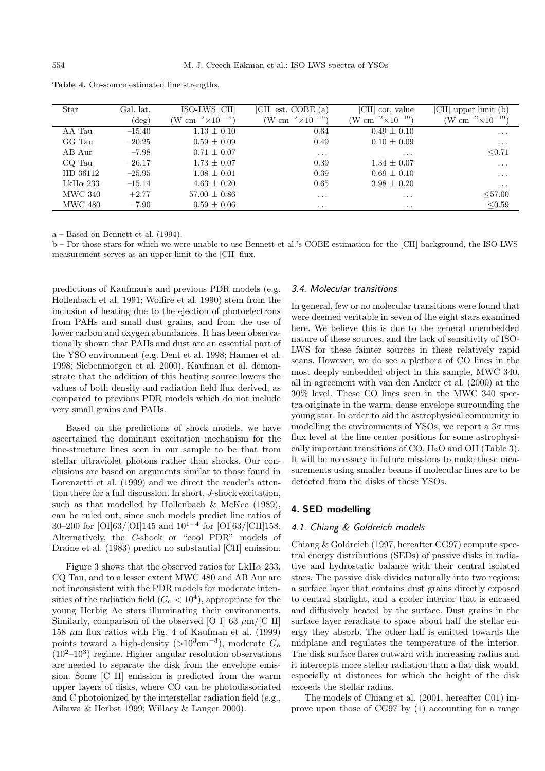| <b>Star</b>      | Gal. lat. | ISO-LWS [CII]                      | est. COBE (a)<br>[CII]             | [CII]<br>cor. value           | [CII]<br>upper limit (b)           |
|------------------|-----------|------------------------------------|------------------------------------|-------------------------------|------------------------------------|
|                  | $(\deg)$  | (W $\rm cm^{-2}{\times}10^{-19}$ ) | (W $\rm cm^{-2}{\times}10^{-19}$ ) | $(W cm^{-2} \times 10^{-19})$ | (W $\rm cm^{-2} \times 10^{-19}$ ) |
| AA Tau           | $-15.40$  | $1.13 \pm 0.10$                    | 0.64                               | $0.49 \pm 0.10$               | $\cdots$                           |
| GG Tau           | $-20.25$  | $0.59 \pm 0.09$                    | 0.49                               | $0.10 \pm 0.09$               | $\ddots$                           |
| AB Aur           | $-7.98$   | $0.71 \pm 0.07$                    | $\ddots$                           | $\ddotsc$                     | $\leq 0.71$                        |
| CQ Tau           | $-26.17$  | $1.73 \pm 0.07$                    | 0.39                               | $1.34 \pm 0.07$               | $\cdots$                           |
| HD 36112         | $-25.95$  | $1.08 \pm 0.01$                    | 0.39                               | $0.69 \pm 0.10$               | $\ddots$                           |
| LkH $\alpha$ 233 | $-15.14$  | $4.63 \pm 0.20$                    | 0.65                               | $3.98 \pm 0.20$               | $\ddotsc$                          |
| MWC 340          | $+2.77$   | $57.00 \pm 0.86$                   | $\cdots$                           | $\ddotsc$                     | < 57.00                            |
| MWC 480          | $-7.90$   | $0.59 \pm 0.06$                    | $\cdots$                           | $\cdots$                      | < 0.59                             |

**Table 4.** On-source estimated line strengths.

a – Based on Bennett et al. (1994).

b – For those stars for which we were unable to use Bennett et al.'s COBE estimation for the [CII] background, the ISO-LWS measurement serves as an upper limit to the [CII] flux.

predictions of Kaufman's and previous PDR models (e.g. Hollenbach et al. 1991; Wolfire et al. 1990) stem from the inclusion of heating due to the ejection of photoelectrons from PAHs and small dust grains, and from the use of lower carbon and oxygen abundances. It has been observationally shown that PAHs and dust are an essential part of the YSO environment (e.g. Dent et al. 1998; Hanner et al. 1998; Siebenmorgen et al. 2000). Kaufman et al. demonstrate that the addition of this heating source lowers the values of both density and radiation field flux derived, as compared to previous PDR models which do not include very small grains and PAHs.

Based on the predictions of shock models, we have ascertained the dominant excitation mechanism for the fine-structure lines seen in our sample to be that from stellar ultraviolet photons rather than shocks. Our conclusions are based on arguments similar to those found in Lorenzetti et al. (1999) and we direct the reader's attention there for a full discussion. In short, J-shock excitation, such as that modelled by Hollenbach & McKee (1989), can be ruled out, since such models predict line ratios of 30–200 for [OI]63/[OI]145 and 10<sup>1</sup>−<sup>4</sup> for [OI]63/[CII]158. Alternatively, the C-shock or "cool PDR" models of Draine et al. (1983) predict no substantial [CII] emission.

Figure 3 shows that the observed ratios for  $LkH\alpha$  233, CQ Tau, and to a lesser extent MWC 480 and AB Aur are not inconsistent with the PDR models for moderate intensities of the radiation field  $(G_{\rm o} < 10^4)$ , appropriate for the young Herbig Ae stars illuminating their environments. Similarly, comparison of the observed [O I] 63  $\mu$ m/[C II] 158  $\mu$ m flux ratios with Fig. 4 of Kaufman et al. (1999) points toward a high-density  $(>10^3 \text{cm}^{-3})$ , moderate  $G_0$  $(10^2-10^3)$  regime. Higher angular resolution observations are needed to separate the disk from the envelope emission. Some [C II] emission is predicted from the warm upper layers of disks, where CO can be photodissociated and C photoionized by the interstellar radiation field (e.g., Aikawa & Herbst 1999; Willacy & Langer 2000).

#### 3.4. Molecular transitions

In general, few or no molecular transitions were found that were deemed veritable in seven of the eight stars examined here. We believe this is due to the general unembedded nature of these sources, and the lack of sensitivity of ISO-LWS for these fainter sources in these relatively rapid scans. However, we do see a plethora of CO lines in the most deeply embedded object in this sample, MWC 340, all in agreement with van den Ancker et al. (2000) at the 30% level. These CO lines seen in the MWC 340 spectra originate in the warm, dense envelope surrounding the young star. In order to aid the astrophysical community in modelling the environments of YSOs, we report a  $3\sigma$  rms flux level at the line center positions for some astrophysically important transitions of CO,  $H_2O$  and OH (Table 3). It will be necessary in future missions to make these measurements using smaller beams if molecular lines are to be detected from the disks of these YSOs.

### **4. SED modelling**

### 4.1. Chiang & Goldreich models

Chiang & Goldreich (1997, hereafter CG97) compute spectral energy distributions (SEDs) of passive disks in radiative and hydrostatic balance with their central isolated stars. The passive disk divides naturally into two regions: a surface layer that contains dust grains directly exposed to central starlight, and a cooler interior that is encased and diffusively heated by the surface. Dust grains in the surface layer reradiate to space about half the stellar energy they absorb. The other half is emitted towards the midplane and regulates the temperature of the interior. The disk surface flares outward with increasing radius and it intercepts more stellar radiation than a flat disk would, especially at distances for which the height of the disk exceeds the stellar radius.

The models of Chiang et al. (2001, hereafter C01) improve upon those of CG97 by (1) accounting for a range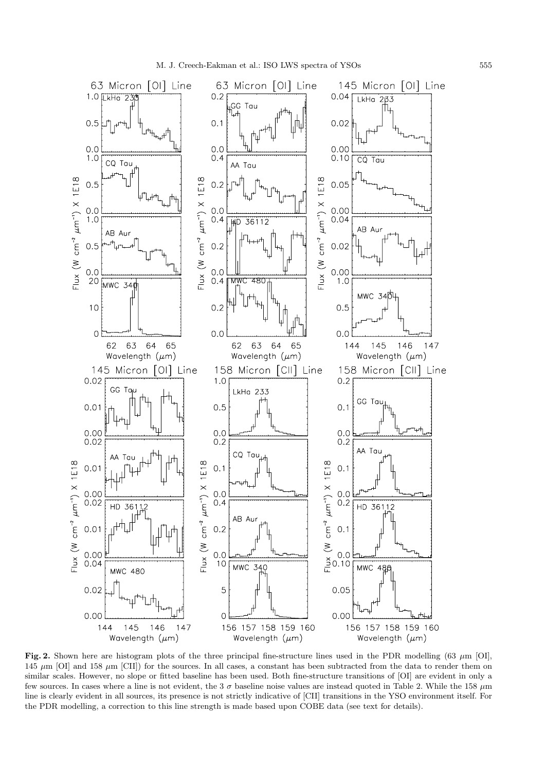

Fig. 2. Shown here are histogram plots of the three principal fine-structure lines used in the PDR modelling (63  $\mu$ m [OI], 145  $\mu$ m [OI] and 158  $\mu$ m [CII]) for the sources. In all cases, a constant has been subtracted from the data to render them on similar scales. However, no slope or fitted baseline has been used. Both fine-structure transitions of [OI] are evident in only a few sources. In cases where a line is not evident, the  $3\sigma$  baseline noise values are instead quoted in Table 2. While the 158  $\mu$ m line is clearly evident in all sources, its presence is not strictly indicative of [CII] transitions in the YSO environment itself. For the PDR modelling, a correction to this line strength is made based upon COBE data (see text for details).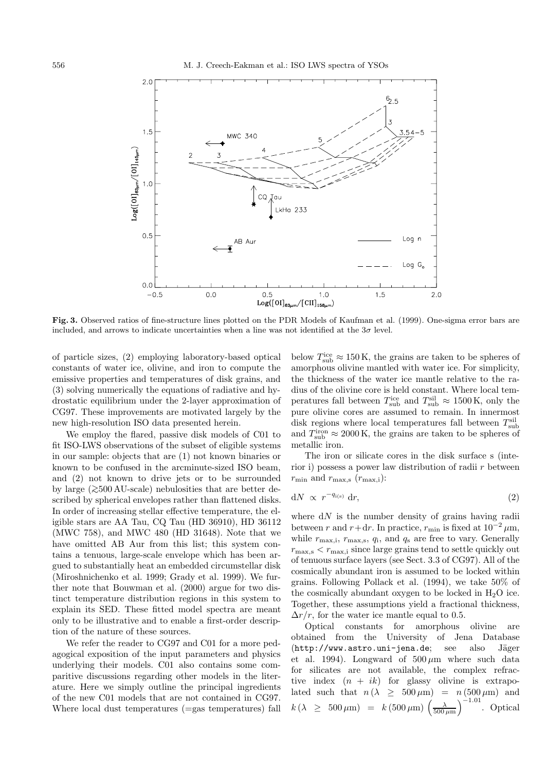

**Fig. 3.** Observed ratios of fine-structure lines plotted on the PDR Models of Kaufman et al. (1999). One-sigma error bars are included, and arrows to indicate uncertainties when a line was not identified at the  $3\sigma$  level.

of particle sizes, (2) employing laboratory-based optical constants of water ice, olivine, and iron to compute the emissive properties and temperatures of disk grains, and (3) solving numerically the equations of radiative and hydrostatic equilibrium under the 2-layer approximation of CG97. These improvements are motivated largely by the new high-resolution ISO data presented herein.

We employ the flared, passive disk models of C01 to fit ISO-LWS observations of the subset of eligible systems in our sample: objects that are (1) not known binaries or known to be confused in the arcminute-sized ISO beam, and (2) not known to drive jets or to be surrounded by large (>∼500 AU-scale) nebulosities that are better described by spherical envelopes rather than flattened disks. In order of increasing stellar effective temperature, the eligible stars are AA Tau, CQ Tau (HD 36910), HD 36112 (MWC 758), and MWC 480 (HD 31648). Note that we have omitted AB Aur from this list; this system contains a tenuous, large-scale envelope which has been argued to substantially heat an embedded circumstellar disk (Miroshnichenko et al. 1999; Grady et al. 1999). We further note that Bouwman et al. (2000) argue for two distinct temperature distribution regions in this system to explain its SED. These fitted model spectra are meant only to be illustrative and to enable a first-order description of the nature of these sources.

We refer the reader to CG97 and C01 for a more pedagogical exposition of the input parameters and physics underlying their models. C01 also contains some comparitive discussions regarding other models in the literature. Here we simply outline the principal ingredients of the new C01 models that are not contained in CG97. Where local dust temperatures (=gas temperatures) fall

below  $T_{\text{sub}}^{\text{ice}} \approx 150 \,\text{K}$ , the grains are taken to be spheres of amorphous olivine mantled with water ice. For simplicity, the thickness of the water ice mantle relative to the radius of the olivine core is held constant. Where local temperatures fall between  $T_{\text{sub}}^{\text{ice}}$  and  $T_{\text{sub}}^{\text{sil}} \approx 1500 \,\text{K}$ , only the pure olivine cores are assumed to remain. In innermost disk regions where local temperatures fall between  $T^{\text{sil}}_{\text{sub}}$ and  $T_{\rm sub}^{\rm iron} \approx 2000$  K, the grains are taken to be spheres of metallic iron.

The iron or silicate cores in the disk surface s (interior i) possess a power law distribution of radii  $r$  between  $r_{\min}$  and  $r_{\max,s}$  ( $r_{\max,i}$ ):

$$
dN \propto r^{-q_{i(s)}} dr,
$$
 (2)

where  $dN$  is the number density of grains having radii between r and r+dr. In practice,  $r_{\min}$  is fixed at  $10^{-2} \mu m$ , while  $r_{\text{max,i}}$ ,  $r_{\text{max,s}}$ ,  $q_i$ , and  $q_s$  are free to vary. Generally  $r_{\text{max}}$ ,  $\epsilon$   $r_{\text{max}}$ ; since large grains tend to settle quickly out of tenuous surface layers (see Sect. 3.3 of CG97). All of the cosmically abundant iron is assumed to be locked within grains. Following Pollack et al. (1994), we take 50% of the cosmically abundant oxygen to be locked in  $H_2O$  ice. Together, these assumptions yield a fractional thickness,  $\Delta r/r$ , for the water ice mantle equal to 0.5.

Optical constants for amorphous olivine are obtained from the University of Jena Database (http://www.astro.uni-jena.de; see also Jäger et al. 1994). Longward of  $500 \,\mu m$  where such data for silicates are not available, the complex refractive index  $(n + ik)$  for glassy olivine is extrapolated such that  $n(\lambda \geq 500 \,\mu\text{m}) = n(500 \,\mu\text{m})$  and  $k(\lambda \geq 500 \,\mu\text{m}) = k (500 \,\mu\text{m}) \left(\frac{\lambda}{500 \,\mu\text{m}}\right)$  $\big)^{-1.01}$ . Optical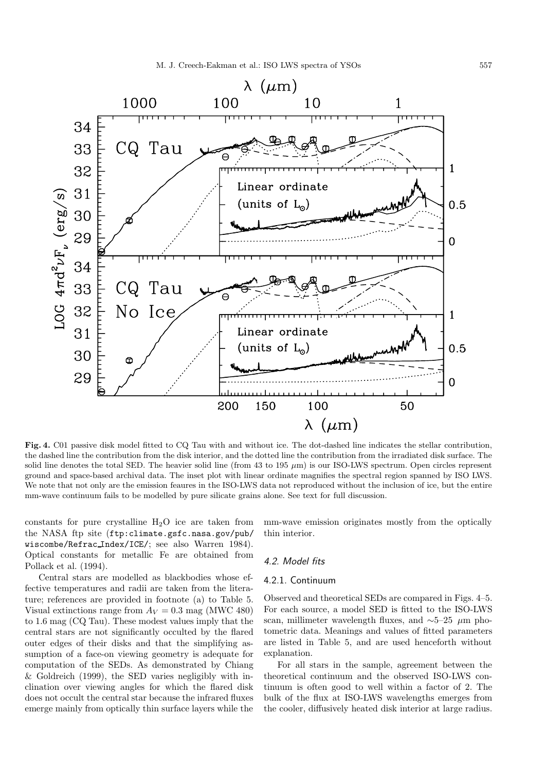

**Fig. 4.** C01 passive disk model fitted to CQ Tau with and without ice. The dot-dashed line indicates the stellar contribution, the dashed line the contribution from the disk interior, and the dotted line the contribution from the irradiated disk surface. The solid line denotes the total SED. The heavier solid line (from 43 to 195  $\mu$ m) is our ISO-LWS spectrum. Open circles represent ground and space-based archival data. The inset plot with linear ordinate magnifies the spectral region spanned by ISO LWS. We note that not only are the emission feaures in the ISO-LWS data not reproduced without the inclusion of ice, but the entire mm-wave continuum fails to be modelled by pure silicate grains alone. See text for full discussion.

constants for pure crystalline  $H_2O$  ice are taken from the NASA ftp site (ftp:climate.gsfc.nasa.gov/pub/ wiscombe/Refrac Index/ICE/; see also Warren 1984). Optical constants for metallic Fe are obtained from Pollack et al. (1994).

Central stars are modelled as blackbodies whose effective temperatures and radii are taken from the literature; references are provided in footnote (a) to Table 5. Visual extinctions range from  $A_V = 0.3$  mag (MWC 480) to 1.6 mag (CQ Tau). These modest values imply that the central stars are not significantly occulted by the flared outer edges of their disks and that the simplifying assumption of a face-on viewing geometry is adequate for computation of the SEDs. As demonstrated by Chiang & Goldreich (1999), the SED varies negligibly with inclination over viewing angles for which the flared disk does not occult the central star because the infrared fluxes emerge mainly from optically thin surface layers while the

mm-wave emission originates mostly from the optically thin interior.

#### 4.2. Model fits

### 4.2.1. Continuum

Observed and theoretical SEDs are compared in Figs. 4–5. For each source, a model SED is fitted to the ISO-LWS scan, millimeter wavelength fluxes, and  $\sim$ 5–25 µm photometric data. Meanings and values of fitted parameters are listed in Table 5, and are used henceforth without explanation.

For all stars in the sample, agreement between the theoretical continuum and the observed ISO-LWS continuum is often good to well within a factor of 2. The bulk of the flux at ISO-LWS wavelengths emerges from the cooler, diffusively heated disk interior at large radius.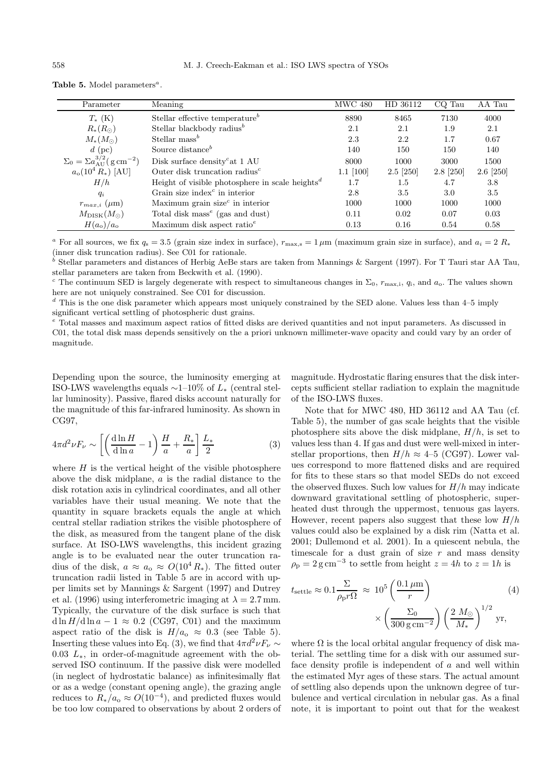| Parameter                                                | Meaning                                                     | MWC 480        | HD 36112    | CQ Tau    | AA Tau      |
|----------------------------------------------------------|-------------------------------------------------------------|----------------|-------------|-----------|-------------|
| $T_{*}$ (K)                                              | Stellar effective temperature <sup>b</sup>                  | 8890           | 8465        | 7130      | 4000        |
| $R_*(R_{\odot})$                                         | Stellar blackbody radius <sup><math>b</math></sup>          | 2.1            | 2.1         | 1.9       | 2.1         |
| $M_*(M_{\odot})$                                         | Stellar mass <sup>b</sup>                                   | 2.3            | 2.2         | 1.7       | 0.67        |
| $d$ (pc)                                                 | Source distance <sup>b</sup>                                | 140            | 150         | 150       | 140         |
| $\Sigma_0 = \Sigma a_{\rm AII}^{3/2} (g \, \rm cm^{-2})$ | Disk surface density <sup>c</sup> at 1 AU                   | 8000           | 1000        | 3000      | 1500        |
| $a_o(10^4 R_*)$ [AU]                                     | Outer disk truncation radius <sup><math>c</math></sup>      | $1.1 \; [100]$ | $2.5$ [250] | 2.8 [250] | $2.6$ [250] |
| H/h                                                      | Height of visible photosphere in scale heights <sup>d</sup> | 1.7            | $1.5\,$     | 4.7       | 3.8         |
| $q_i$                                                    | Grain size index $\epsilon$ in interior                     | 2.8            | 3.5         | 3.0       | 3.5         |
| $r_{max,i}$ ( $\mu$ m)                                   | Maximum grain size $^c$ in interior                         | 1000           | 1000        | 1000      | 1000        |
| $M_{\rm DISK}(M_{\odot})$                                | Total disk mass <sup><math>e</math></sup> (gas and dust)    | 0.11           | 0.02        | 0.07      | 0.03        |
| $H(a_{o})/a_{o}$                                         | Maximum disk aspect ratio $^e$                              | 0.13           | 0.16        | 0.54      | 0.58        |

Table 5. Model parameters<sup>a</sup>.

<sup>a</sup> For all sources, we fix  $q_s = 3.5$  (grain size index in surface),  $r_{\text{max,s}} = 1 \,\mu\text{m}$  (maximum grain size in surface), and  $a_i = 2 R_*$ (inner disk truncation radius). See C01 for rationale.

<sup>b</sup> Stellar parameters and distances of Herbig AeBe stars are taken from Mannings & Sargent (1997). For T Tauri star AA Tau, stellar parameters are taken from Beckwith et al. (1990).

<sup>c</sup> The continuum SED is largely degenerate with respect to simultaneous changes in  $\Sigma_0$ ,  $r_{\text{max,i}}$ ,  $q_i$ , and  $a_0$ . The values shown here are not uniquely constrained. See C01 for discussion.

<sup>d</sup> This is the one disk parameter which appears most uniquely constrained by the SED alone. Values less than 4–5 imply significant vertical settling of photospheric dust grains.

<sup>e</sup> Total masses and maximum aspect ratios of fitted disks are derived quantities and not input parameters. As discussed in C01, the total disk mass depends sensitively on the a priori unknown millimeter-wave opacity and could vary by an order of magnitude.

Depending upon the source, the luminosity emerging at ISO-LWS wavelengths equals  $\sim$ 1–10% of  $L_{*}$  (central stellar luminosity). Passive, flared disks account naturally for the magnitude of this far-infrared luminosity. As shown in CG97,

$$
4\pi d^2 \nu F_\nu \sim \left[ \left( \frac{\mathrm{d}\ln H}{\mathrm{d}\ln a} - 1 \right) \frac{H}{a} + \frac{R_*}{a} \right] \frac{L_*}{2}
$$
 (3)

where  $H$  is the vertical height of the visible photosphere above the disk midplane, a is the radial distance to the disk rotation axis in cylindrical coordinates, and all other variables have their usual meaning. We note that the quantity in square brackets equals the angle at which central stellar radiation strikes the visible photosphere of the disk, as measured from the tangent plane of the disk surface. At ISO-LWS wavelengths, this incident grazing angle is to be evaluated near the outer truncation radius of the disk,  $a \approx a_{\rm o} \approx O(10^4 R_{\ast})$ . The fitted outer truncation radii listed in Table 5 are in accord with upper limits set by Mannings & Sargent (1997) and Dutrey et al. (1996) using interferometric imaging at  $\lambda = 2.7$  mm. Typically, the curvature of the disk surface is such that  $d \ln H/d \ln a - 1 \approx 0.2$  (CG97, C01) and the maximum aspect ratio of the disk is  $H/a<sub>o</sub> \approx 0.3$  (see Table 5). Inserting these values into Eq. (3), we find that  $4\pi d^2 \nu F_\nu \sim$ 0.03  $L_*$ , in order-of-magnitude agreement with the observed ISO continuum. If the passive disk were modelled (in neglect of hydrostatic balance) as infinitesimally flat or as a wedge (constant opening angle), the grazing angle reduces to  $R_*/a_0 \approx O(10^{-4})$ , and predicted fluxes would be too low compared to observations by about 2 orders of magnitude. Hydrostatic flaring ensures that the disk intercepts sufficient stellar radiation to explain the magnitude of the ISO-LWS fluxes.

Note that for MWC 480, HD 36112 and AA Tau (cf. Table 5), the number of gas scale heights that the visible photosphere sits above the disk midplane,  $H/h$ , is set to values less than 4. If gas and dust were well-mixed in interstellar proportions, then  $H/h \approx 4$ –5 (CG97). Lower values correspond to more flattened disks and are required for fits to these stars so that model SEDs do not exceed the observed fluxes. Such low values for  $H/h$  may indicate downward gravitational settling of photospheric, superheated dust through the uppermost, tenuous gas layers. However, recent papers also suggest that these low  $H/h$ values could also be explained by a disk rim (Natta et al. 2001; Dullemond et al. 2001). In a quiescent nebula, the timescale for a dust grain of size  $r$  and mass density  $\rho_{\rm p} = 2 \,\text{g cm}^{-3}$  to settle from height  $z = 4h$  to  $z = 1h$  is

$$
t_{\text{settle}} \approx 0.1 \frac{\Sigma}{\rho_{\text{p}} r \Omega} \approx 10^5 \left( \frac{0.1 \,\mu\text{m}}{r} \right) \times \left( \frac{\Sigma_0}{300 \,\text{g cm}^{-2}} \right) \left( \frac{2 \, M_\odot}{M_*} \right)^{1/2} \text{yr},\tag{4}
$$

where  $\Omega$  is the local orbital angular frequency of disk material. The settling time for a disk with our assumed surface density profile is independent of a and well within the estimated Myr ages of these stars. The actual amount of settling also depends upon the unknown degree of turbulence and vertical circulation in nebular gas. As a final note, it is important to point out that for the weakest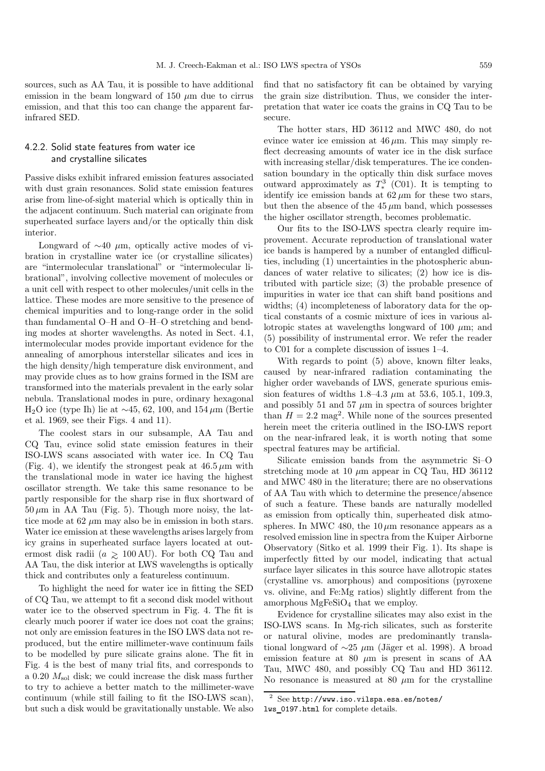sources, such as AA Tau, it is possible to have additional emission in the beam longward of 150  $\mu$ m due to cirrus emission, and that this too can change the apparent farinfrared SED.

# 4.2.2. Solid state features from water ice and crystalline silicates

Passive disks exhibit infrared emission features associated with dust grain resonances. Solid state emission features arise from line-of-sight material which is optically thin in the adjacent continuum. Such material can originate from superheated surface layers and/or the optically thin disk interior.

Longward of  $\sim$ 40  $\mu$ m, optically active modes of vibration in crystalline water ice (or crystalline silicates) are "intermolecular translational" or "intermolecular librational", involving collective movement of molecules or a unit cell with respect to other molecules/unit cells in the lattice. These modes are more sensitive to the presence of chemical impurities and to long-range order in the solid than fundamental O–H and O–H–O stretching and bending modes at shorter wavelengths. As noted in Sect. 4.1, intermolecular modes provide important evidence for the annealing of amorphous interstellar silicates and ices in the high density/high temperature disk environment, and may provide clues as to how grains formed in the ISM are transformed into the materials prevalent in the early solar nebula. Translational modes in pure, ordinary hexagonal H<sub>2</sub>O ice (type Ih) lie at ~45, 62, 100, and 154 µm (Bertie et al. 1969, see their Figs. 4 and 11).

The coolest stars in our subsample, AA Tau and CQ Tau, evince solid state emission features in their ISO-LWS scans associated with water ice. In CQ Tau (Fig. 4), we identify the strongest peak at  $46.5 \,\mu m$  with the translational mode in water ice having the highest oscillator strength. We take this same resonance to be partly responsible for the sharp rise in flux shortward of  $50 \,\mu\text{m}$  in AA Tau (Fig. 5). Though more noisy, the lattice mode at  $62 \mu m$  may also be in emission in both stars. Water ice emission at these wavelengths arises largely from icy grains in superheated surface layers located at outermost disk radii ( $a \ge 100 \text{ AU}$ ). For both CQ Tau and  $\Lambda \Lambda$  Tau the disk interior at LWS wavelengths is optically AA Tau, the disk interior at LWS wavelengths is optically thick and contributes only a featureless continuum.

To highlight the need for water ice in fitting the SED of CQ Tau, we attempt to fit a second disk model without water ice to the observed spectrum in Fig. 4. The fit is clearly much poorer if water ice does not coat the grains; not only are emission features in the ISO LWS data not reproduced, but the entire millimeter-wave continuum fails to be modelled by pure silicate grains alone. The fit in Fig. 4 is the best of many trial fits, and corresponds to a 0.20  $M_{\rm sol}$  disk; we could increase the disk mass further to try to achieve a better match to the millimeter-wave continuum (while still failing to fit the ISO-LWS scan), but such a disk would be gravitationally unstable. We also

find that no satisfactory fit can be obtained by varying the grain size distribution. Thus, we consider the interpretation that water ice coats the grains in CQ Tau to be secure.

The hotter stars, HD 36112 and MWC 480, do not evince water ice emission at  $46 \mu m$ . This may simply reflect decreasing amounts of water ice in the disk surface with increasing stellar/disk temperatures. The ice condensation boundary in the optically thin disk surface moves outward approximately as  $T_*^3$  (C01). It is tempting to identify ice emission bands at  $62 \mu m$  for these two stars, but then the absence of the  $45 \mu m$  band, which possesses the higher oscillator strength, becomes problematic.

Our fits to the ISO-LWS spectra clearly require improvement. Accurate reproduction of translational water ice bands is hampered by a number of entangled difficulties, including (1) uncertainties in the photospheric abundances of water relative to silicates; (2) how ice is distributed with particle size; (3) the probable presence of impurities in water ice that can shift band positions and widths; (4) incompleteness of laboratory data for the optical constants of a cosmic mixture of ices in various allotropic states at wavelengths longward of 100  $\mu$ m; and (5) possibility of instrumental error. We refer the reader to C01 for a complete discussion of issues 1–4.

With regards to point (5) above, known filter leaks, caused by near-infrared radiation contaminating the higher order wavebands of LWS, generate spurious emission features of widths  $1.8-4.3 \mu m$  at 53.6, 105.1, 109.3, and possibly 51 and 57  $\mu$ m in spectra of sources brighter than  $H = 2.2$  mag<sup>2</sup>. While none of the sources presented herein meet the criteria outlined in the ISO-LWS report on the near-infrared leak, it is worth noting that some spectral features may be artificial.

Silicate emission bands from the asymmetric Si–O stretching mode at 10  $\mu$ m appear in CQ Tau, HD 36112 and MWC 480 in the literature; there are no observations of AA Tau with which to determine the presence/absence of such a feature. These bands are naturally modelled as emission from optically thin, superheated disk atmospheres. In MWC 480, the  $10 \mu m$  resonance appears as a resolved emission line in spectra from the Kuiper Airborne Observatory (Sitko et al. 1999 their Fig. 1). Its shape is imperfectly fitted by our model, indicating that actual surface layer silicates in this source have allotropic states (crystalline vs. amorphous) and compositions (pyroxene vs. olivine, and Fe:Mg ratios) slightly different from the amorphous  $MgFeSiO<sub>4</sub>$  that we employ.

Evidence for crystalline silicates may also exist in the ISO-LWS scans. In Mg-rich silicates, such as forsterite or natural olivine, modes are predominantly translational longward of  $\sim$ 25 µm (Jäger et al. 1998). A broad emission feature at 80  $\mu$ m is present in scans of AA Tau, MWC 480, and possibly CQ Tau and HD 36112. No resonance is measured at 80  $\mu$ m for the crystalline

<sup>2</sup> See http://www.iso.vilspa.esa.es/notes/ lws 0197.html for complete details.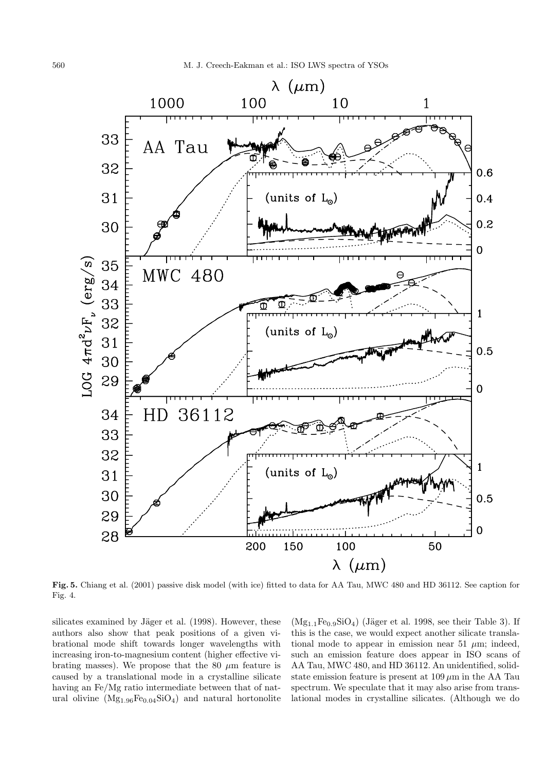

**Fig. 5.** Chiang et al. (2001) passive disk model (with ice) fitted to data for AA Tau, MWC 480 and HD 36112. See caption for Fig. 4.

silicates examined by Jäger et al. (1998). However, these authors also show that peak positions of a given vibrational mode shift towards longer wavelengths with increasing iron-to-magnesium content (higher effective vibrating masses). We propose that the 80  $\mu$ m feature is caused by a translational mode in a crystalline silicate having an Fe/Mg ratio intermediate between that of natural olivine  $(Mg_{1.96}Fe_{0.04}SiO_4)$  and natural hortonolite  $(Mg_{1.1}Fe_{0.9}SiO_4)$  (Jäger et al. 1998, see their Table 3). If this is the case, we would expect another silicate translational mode to appear in emission near 51  $\mu$ m; indeed, such an emission feature does appear in ISO scans of AA Tau, MWC 480, and HD 36112. An unidentified, solidstate emission feature is present at  $109 \,\mu m$  in the AA Tau spectrum. We speculate that it may also arise from translational modes in crystalline silicates. (Although we do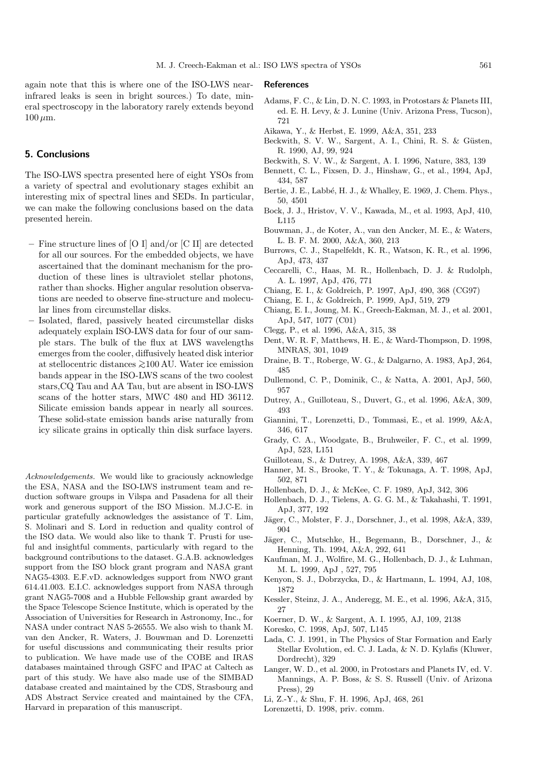again note that this is where one of the ISO-LWS nearinfrared leaks is seen in bright sources.) To date, mineral spectroscopy in the laboratory rarely extends beyond  $100 \mu m$ .

# **5. Conclusions**

The ISO-LWS spectra presented here of eight YSOs from a variety of spectral and evolutionary stages exhibit an interesting mix of spectral lines and SEDs. In particular, we can make the following conclusions based on the data presented herein.

- **–** Fine structure lines of [O I] and/or [C II] are detected for all our sources. For the embedded objects, we have ascertained that the dominant mechanism for the production of these lines is ultraviolet stellar photons, rather than shocks. Higher angular resolution observations are needed to observe fine-structure and molecular lines from circumstellar disks.
- **–** Isolated, flared, passively heated circumstellar disks adequately explain ISO-LWS data for four of our sample stars. The bulk of the flux at LWS wavelengths emerges from the cooler, diffusively heated disk interior at stellocentric distances <sup>&</sup>gt;∼100 AU. Water ice emission bands appear in the ISO-LWS scans of the two coolest stars,CQ Tau and AA Tau, but are absent in ISO-LWS scans of the hotter stars, MWC 480 and HD 36112. Silicate emission bands appear in nearly all sources. These solid-state emission bands arise naturally from icy silicate grains in optically thin disk surface layers.

Acknowledgements. We would like to graciously acknowledge the ESA, NASA and the ISO-LWS instrument team and reduction software groups in Vilspa and Pasadena for all their work and generous support of the ISO Mission. M.J.C-E. in particular gratefully acknowledges the assistance of T. Lim, S. Molinari and S. Lord in reduction and quality control of the ISO data. We would also like to thank T. Prusti for useful and insightful comments, particularly with regard to the background contributions to the dataset. G.A.B. acknowledges support from the ISO block grant program and NASA grant NAG5-4303. E.F.vD. acknowledges support from NWO grant 614.41.003. E.I.C. acknowledges support from NASA through grant NAG5-7008 and a Hubble Fellowship grant awarded by the Space Telescope Science Institute, which is operated by the Association of Universities for Research in Astronomy, Inc., for NASA under contract NAS 5-26555. We also wish to thank M. van den Ancker, R. Waters, J. Bouwman and D. Lorenzetti for useful discussions and communicating their results prior to publication. We have made use of the COBE and IRAS databases maintained through GSFC and IPAC at Caltech as part of this study. We have also made use of the SIMBAD database created and maintained by the CDS, Strasbourg and ADS Abstract Service created and maintained by the CFA, Harvard in preparation of this manuscript.

#### **References**

- Adams, F. C., & Lin, D. N. C. 1993, in Protostars & Planets III, ed. E. H. Levy, & J. Lunine (Univ. Arizona Press, Tucson), 721
- Aikawa, Y., & Herbst, E. 1999, A&A, 351, 233
- Beckwith, S. V. W., Sargent, A. I., Chini, R. S. & Güsten, R. 1990, AJ, 99, 924
- Beckwith, S. V. W., & Sargent, A. I. 1996, Nature, 383, 139
- Bennett, C. L., Fixsen, D. J., Hinshaw, G., et al., 1994, ApJ, 434, 587
- Bertie, J. E., Labb´e, H. J., & Whalley, E. 1969, J. Chem. Phys., 50, 4501
- Bock, J. J., Hristov, V. V., Kawada, M., et al. 1993, ApJ, 410, L115
- Bouwman, J., de Koter, A., van den Ancker, M. E., & Waters, L. B. F. M. 2000, A&A, 360, 213
- Burrows, C. J., Stapelfeldt, K. R., Watson, K. R., et al. 1996, ApJ, 473, 437
- Ceccarelli, C., Haas, M. R., Hollenbach, D. J. & Rudolph, A. L. 1997, ApJ, 476, 771
- Chiang, E. I., & Goldreich, P. 1997, ApJ, 490, 368 (CG97)
- Chiang, E. I., & Goldreich, P. 1999, ApJ, 519, 279
- Chiang, E. I., Joung, M. K., Greech-Eakman, M. J., et al. 2001, ApJ, 547, 1077 (C01)
- Clegg, P., et al. 1996, A&A, 315, 38
- Dent, W. R. F, Matthews, H. E., & Ward-Thompson, D. 1998, MNRAS, 301, 1049
- Draine, B. T., Roberge, W. G., & Dalgarno, A. 1983, ApJ, 264, 485
- Dullemond, C. P., Dominik, C., & Natta, A. 2001, ApJ, 560, 957
- Dutrey, A., Guilloteau, S., Duvert, G., et al. 1996, A&A, 309, 493
- Giannini, T., Lorenzetti, D., Tommasi, E., et al. 1999, A&A, 346, 617
- Grady, C. A., Woodgate, B., Bruhweiler, F. C., et al. 1999, ApJ, 523, L151
- Guilloteau, S., & Dutrey, A. 1998, A&A, 339, 467
- Hanner, M. S., Brooke, T. Y., & Tokunaga, A. T. 1998, ApJ, 502, 871
- Hollenbach, D. J., & McKee, C. F. 1989, ApJ, 342, 306
- Hollenbach, D. J., Tielens, A. G. G. M., & Takahashi, T. 1991, ApJ, 377, 192
- Jäger, C., Molster, F. J., Dorschner, J., et al. 1998, A&A, 339, 904
- Jäger, C., Mutschke, H., Begemann, B., Dorschner, J., & Henning, Th. 1994, A&A, 292, 641
- Kaufman, M. J., Wolfire, M. G., Hollenbach, D. J., & Luhman, M. L. 1999, ApJ , 527, 795
- Kenyon, S. J., Dobrzycka, D., & Hartmann, L. 1994, AJ, 108, 1872
- Kessler, Steinz, J. A., Anderegg, M. E., et al. 1996, A&A, 315, 27
- Koerner, D. W., & Sargent, A. I. 1995, AJ, 109, 2138
- Koresko, C. 1998, ApJ, 507, L145
- Lada, C. J. 1991, in The Physics of Star Formation and Early Stellar Evolution, ed. C. J. Lada, & N. D. Kylafis (Kluwer, Dordrecht), 329
- Langer, W. D., et al. 2000, in Protostars and Planets IV, ed. V. Mannings, A. P. Boss, & S. S. Russell (Univ. of Arizona Press), 29
- Li, Z.-Y., & Shu, F. H. 1996, ApJ, 468, 261
- Lorenzetti, D. 1998, priv. comm.